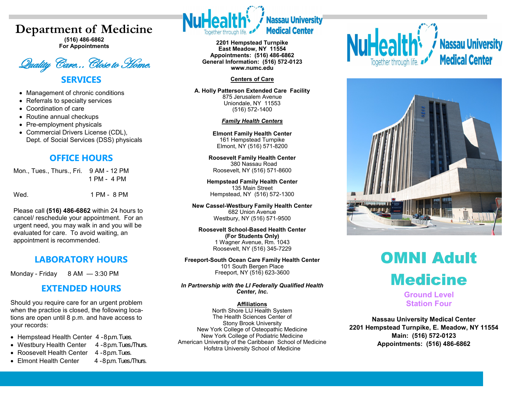# **Department of Medicine**

**(516) 486-6862 For Appointments**

Quality Care...Close to Home. **SERVICES**

- Management of chronic conditions
- Referrals to specialty services
- Coordination of care
- Routine annual checkups
- Pre-employment physicals
- Commercial Drivers License (CDL), Dept. of Social Services (DSS) physicals

## **OFFICE HOURS**

Mon., Tues., Thurs., Fri. 9 AM - 12 PM 1 PM - 4 PM

Wed. 1 PM - 8 PM

Please call **(516) 486-6862** within 24 hours to cancel/ reschedule your appointment. For an urgent need, you may walk in and you will be evaluated for care. To avoid waiting, an appointment is recommended.

# **LABORATORY HOURS**

Monday - Friday 8 AM - 3:30 PM

## **EXTENDED HOURS**

Should you require care for an urgent problem when the practice is closed, the following locations are open until 8 p.m. and have access to your records:

- Hempstead Health Center 4-8 p.m. Tues.
- Westbury Health Center 4 -8 p.m. Tues/Thurs.
- Roosevelt Health Center 4 -8 p.m. Tues.
- Elmont Health Center 4 -8 p.m. Tues/Thurs.
- 



**2201 Hempstead Turnpike East Meadow, NY 11554 Appointments: (516) 486-6862 General Information: (516) 572-0123 www.numc.edu**

#### **Centers of Care**

**A. Holly Patterson Extended Care Facility** 875 Jerusalem Avenue Uniondale, NY 11553 (516) 572-1400

#### *Family Health Centers*

**Elmont Family Health Center** 161 Hempstead Turnpike Elmont, NY (516) 571-8200

**Roosevelt Family Health Center** 380 Nassau Road Roosevelt, NY (516) 571-8600

**Hempstead Family Health Center** 135 Main Street Hempstead, NY (516) 572-1300

**New Cassel-Westbury Family Health Center** 682 Union Avenue Westbury, NY (516) 571-9500

**Roosevelt School-Based Health Center (For Students Only)** 1 Wagner Avenue, Rm. 1043 Roosevelt, NY (516) 345-7229

**Freeport-South Ocean Care Family Health Center** 101 South Bergen Place Freeport, NY (516) 623-3600

*In Partnership with the LI Federally Qualified Health Center, Inc.*

#### **Affiliations**

North Shore LIJ Health System The Health Sciences Center of Stony Brook University New York College of Osteopathic Medicine New York College of Podiatric Medicine American University of the Caribbean School of Medicine Hofstra University School of Medicine





# OMNI Adult **Medicine**

**Ground Level Station Four**

**Nassau University Medical Center 2201 Hempstead Turnpike, E. Meadow, NY 11554 Main: (516) 572-0123 Appointments: (516) 486-6862**